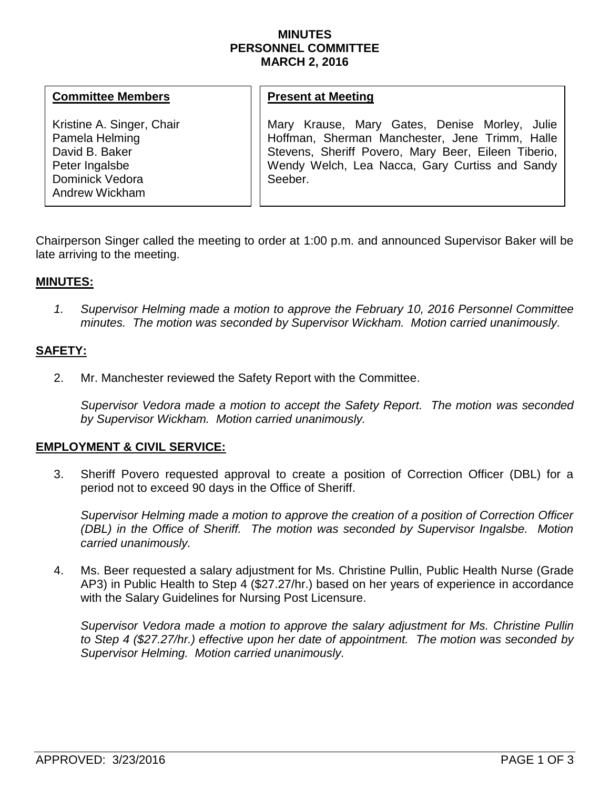### **MINUTES PERSONNEL COMMITTEE MARCH 2, 2016**

#### **Committee Members**

Kristine A. Singer, Chair Pamela Helming David B. Baker Peter Ingalsbe Dominick Vedora Andrew Wickham

## **Present at Meeting**

Mary Krause, Mary Gates, Denise Morley, Julie Hoffman, Sherman Manchester, Jene Trimm, Halle Stevens, Sheriff Povero, Mary Beer, Eileen Tiberio, Wendy Welch, Lea Nacca, Gary Curtiss and Sandy Seeber.

Chairperson Singer called the meeting to order at 1:00 p.m. and announced Supervisor Baker will be late arriving to the meeting.

## **MINUTES:**

*1. Supervisor Helming made a motion to approve the February 10, 2016 Personnel Committee minutes. The motion was seconded by Supervisor Wickham. Motion carried unanimously.*

# **SAFETY:**

2. Mr. Manchester reviewed the Safety Report with the Committee.

*Supervisor Vedora made a motion to accept the Safety Report. The motion was seconded by Supervisor Wickham. Motion carried unanimously.* 

## **EMPLOYMENT & CIVIL SERVICE:**

3. Sheriff Povero requested approval to create a position of Correction Officer (DBL) for a period not to exceed 90 days in the Office of Sheriff.

*Supervisor Helming made a motion to approve the creation of a position of Correction Officer (DBL) in the Office of Sheriff. The motion was seconded by Supervisor Ingalsbe. Motion carried unanimously.* 

4. Ms. Beer requested a salary adjustment for Ms. Christine Pullin, Public Health Nurse (Grade AP3) in Public Health to Step 4 (\$27.27/hr.) based on her years of experience in accordance with the Salary Guidelines for Nursing Post Licensure.

*Supervisor Vedora made a motion to approve the salary adjustment for Ms. Christine Pullin to Step 4 (\$27.27/hr.) effective upon her date of appointment. The motion was seconded by Supervisor Helming. Motion carried unanimously.*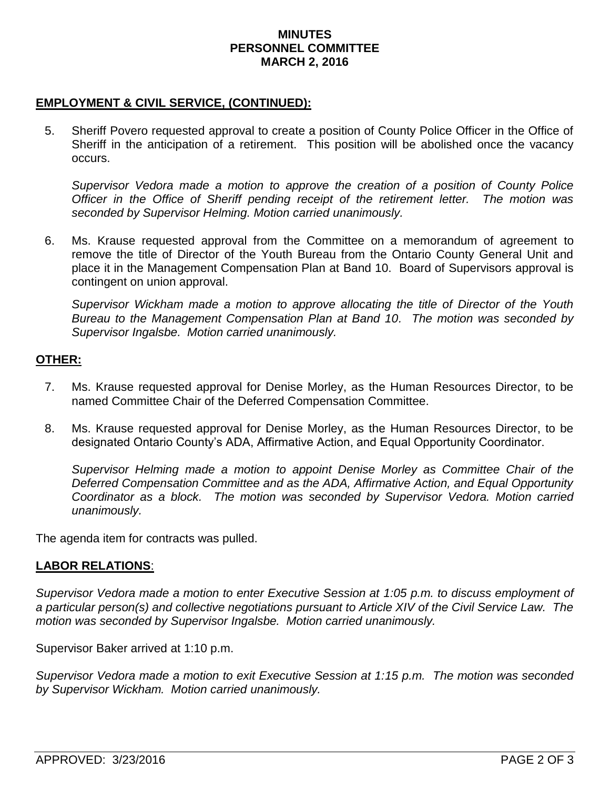### **MINUTES PERSONNEL COMMITTEE MARCH 2, 2016**

# **EMPLOYMENT & CIVIL SERVICE, (CONTINUED):**

5. Sheriff Povero requested approval to create a position of County Police Officer in the Office of Sheriff in the anticipation of a retirement. This position will be abolished once the vacancy occurs.

*Supervisor Vedora made a motion to approve the creation of a position of County Police Officer in the Office of Sheriff pending receipt of the retirement letter. The motion was seconded by Supervisor Helming. Motion carried unanimously.*

6. Ms. Krause requested approval from the Committee on a memorandum of agreement to remove the title of Director of the Youth Bureau from the Ontario County General Unit and place it in the Management Compensation Plan at Band 10. Board of Supervisors approval is contingent on union approval.

*Supervisor Wickham made a motion to approve allocating the title of Director of the Youth Bureau to the Management Compensation Plan at Band 10. The motion was seconded by Supervisor Ingalsbe. Motion carried unanimously.* 

#### **OTHER:**

- 7. Ms. Krause requested approval for Denise Morley, as the Human Resources Director, to be named Committee Chair of the Deferred Compensation Committee.
- 8. Ms. Krause requested approval for Denise Morley, as the Human Resources Director, to be designated Ontario County's ADA, Affirmative Action, and Equal Opportunity Coordinator.

*Supervisor Helming made a motion to appoint Denise Morley as Committee Chair of the Deferred Compensation Committee and as the ADA, Affirmative Action, and Equal Opportunity Coordinator as a block. The motion was seconded by Supervisor Vedora. Motion carried unanimously.*

The agenda item for contracts was pulled.

## **LABOR RELATIONS**:

*Supervisor Vedora made a motion to enter Executive Session at 1:05 p.m. to discuss employment of a particular person(s) and collective negotiations pursuant to Article XIV of the Civil Service Law. The motion was seconded by Supervisor Ingalsbe. Motion carried unanimously.*

Supervisor Baker arrived at 1:10 p.m.

*Supervisor Vedora made a motion to exit Executive Session at 1:15 p.m. The motion was seconded by Supervisor Wickham. Motion carried unanimously.*